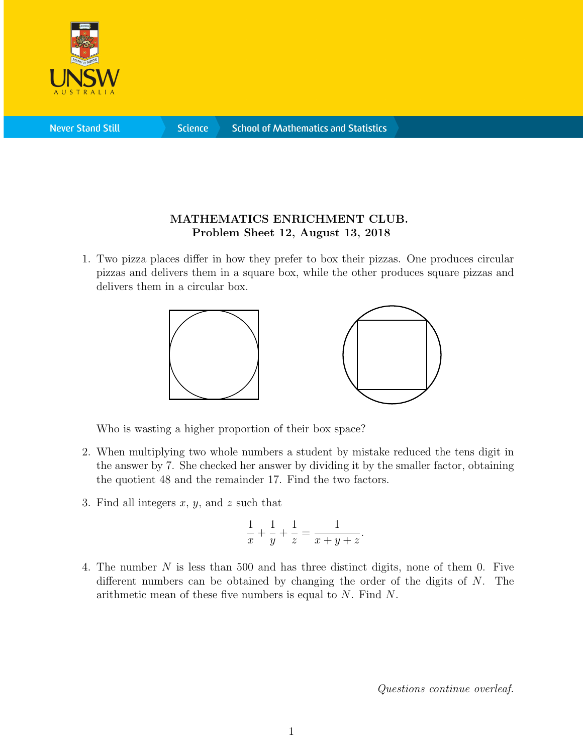

**Science** 

## MATHEMATICS ENRICHMENT CLUB. Problem Sheet 12, August 13, 2018

1. Two pizza places differ in how they prefer to box their pizzas. One produces circular pizzas and delivers them in a square box, while the other produces square pizzas and delivers them in a circular box.



Who is wasting a higher proportion of their box space?

- 2. When multiplying two whole numbers a student by mistake reduced the tens digit in the answer by 7. She checked her answer by dividing it by the smaller factor, obtaining the quotient 48 and the remainder 17. Find the two factors.
- 3. Find all integers  $x, y$ , and  $z$  such that

$$
\frac{1}{x} + \frac{1}{y} + \frac{1}{z} = \frac{1}{x + y + z}.
$$

4. The number N is less than 500 and has three distinct digits, none of them 0. Five different numbers can be obtained by changing the order of the digits of N. The arithmetic mean of these five numbers is equal to N. Find N.

Questions continue overleaf.